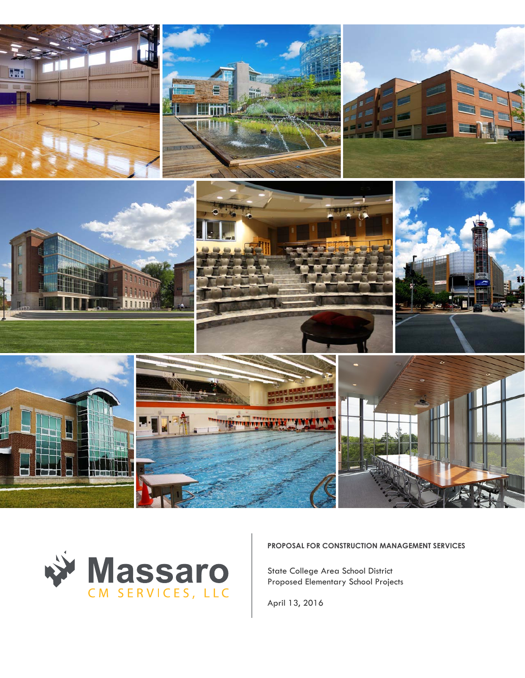



**PROPOSAL FOR CONSTRUCTION MANAGEMENT SERVICES**

State College Area School District **Middle School, Elementary School, and Athletic Stadium Project** Proposed Elementary School Projects

**January 25, 2016** April 13, 2016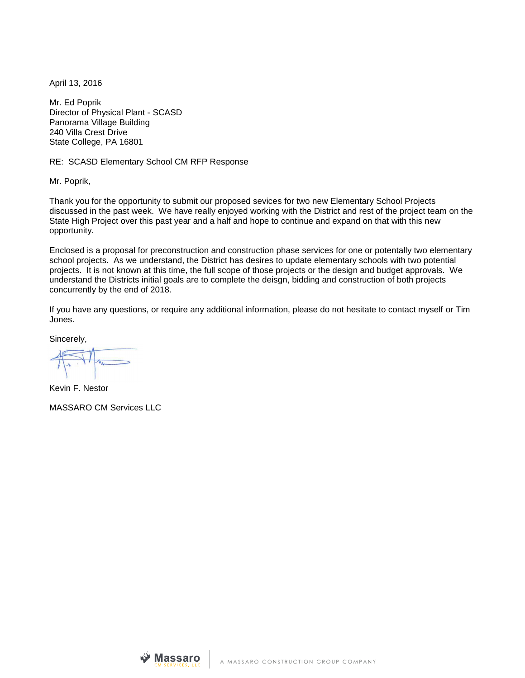April 13, 2016

Mr. Ed Poprik Director of Physical Plant - SCASD Panorama Village Building 240 Villa Crest Drive State College, PA 16801

RE: SCASD Elementary School CM RFP Response

Mr. Poprik,

Thank you for the opportunity to submit our proposed sevices for two new Elementary School Projects discussed in the past week. We have really enjoyed working with the District and rest of the project team on the State High Project over this past year and a half and hope to continue and expand on that with this new opportunity.

Enclosed is a proposal for preconstruction and construction phase services for one or potentally two elementary school projects. As we understand, the District has desires to update elementary schools with two potential projects. It is not known at this time, the full scope of those projects or the design and budget approvals. We understand the Districts initial goals are to complete the deisgn, bidding and construction of both projects concurrently by the end of 2018.

If you have any questions, or require any additional information, please do not hesitate to contact myself or Tim Jones.

Sincerely,

Kevin F. Nestor

MASSARO CM Services LLC

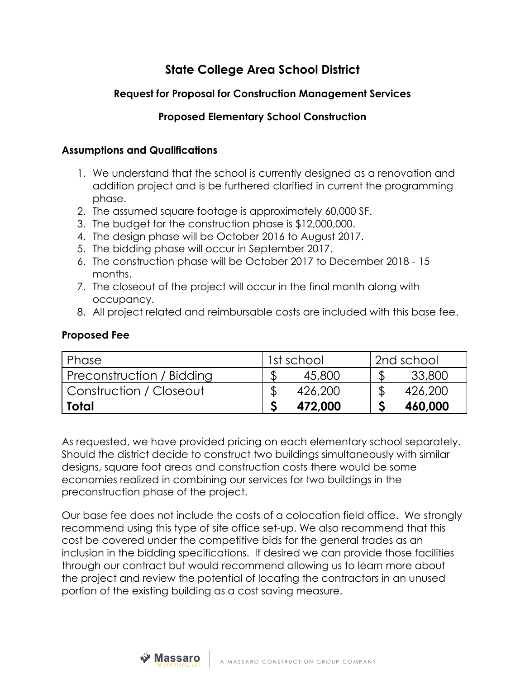### **State College Area School District**

#### **Request for Proposal for Construction Management Services**

#### **Proposed Elementary School Construction**

#### **Assumptions and Qualifications**

- 1. We understand that the school is currently designed as a renovation and addition project and is be furthered clarified in current the programming phase.
- 2. The assumed square footage is approximately 60,000 SF.
- 3. The budget for the construction phase is \$12,000,000.
- 4. The design phase will be October 2016 to August 2017.
- 5. The bidding phase will occur in September 2017.
- 6. The construction phase will be October 2017 to December 2018 15 months.
- 7. The closeout of the project will occur in the final month along with occupancy.
- 8. All project related and reimbursable costs are included with this base fee.

#### **Proposed Fee**

| Phase                     | 1st school |         | 2nd school |  |
|---------------------------|------------|---------|------------|--|
| Preconstruction / Bidding |            | 45,800  | 33,800     |  |
| Construction / Closeout   |            | 426,200 | 426,200    |  |
| Total                     |            | 472,000 | 460,000    |  |

As requested, we have provided pricing on each elementary school separately. Should the district decide to construct two buildings simultaneously with similar designs, square foot areas and construction costs there would be some economies realized in combining our services for two buildings in the preconstruction phase of the project.

Our base fee does not include the costs of a colocation field office. We strongly recommend using this type of site office set-up. We also recommend that this cost be covered under the competitive bids for the general trades as an inclusion in the bidding specifications. If desired we can provide those facilities through our contract but would recommend allowing us to learn more about the project and review the potential of locating the contractors in an unused portion of the existing building as a cost saving measure.

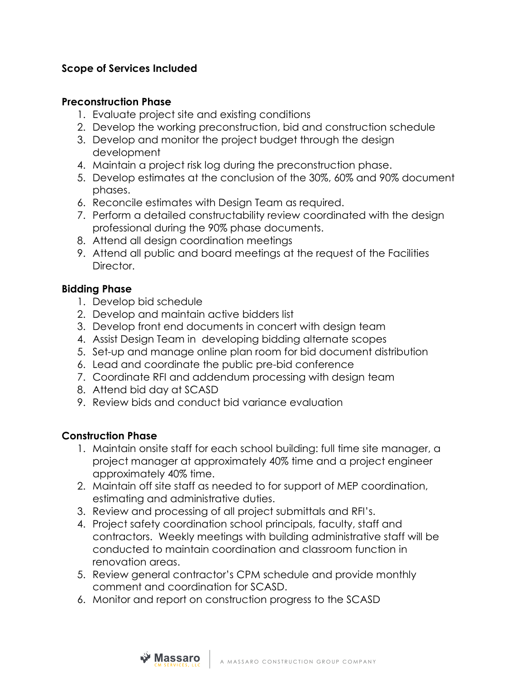#### **Scope of Services Included**

#### **Preconstruction Phase**

- 1. Evaluate project site and existing conditions
- 2. Develop the working preconstruction, bid and construction schedule
- 3. Develop and monitor the project budget through the design development
- 4. Maintain a project risk log during the preconstruction phase.
- 5. Develop estimates at the conclusion of the 30%, 60% and 90% document phases.
- 6. Reconcile estimates with Design Team as required.
- 7. Perform a detailed constructability review coordinated with the design professional during the 90% phase documents.
- 8. Attend all design coordination meetings
- 9. Attend all public and board meetings at the request of the Facilities Director.

#### **Bidding Phase**

- 1. Develop bid schedule
- 2. Develop and maintain active bidders list
- 3. Develop front end documents in concert with design team
- 4. Assist Design Team in developing bidding alternate scopes
- 5. Set-up and manage online plan room for bid document distribution
- 6. Lead and coordinate the public pre-bid conference
- 7. Coordinate RFI and addendum processing with design team
- 8. Attend bid day at SCASD
- 9. Review bids and conduct bid variance evaluation

#### **Construction Phase**

- 1. Maintain onsite staff for each school building: full time site manager, a project manager at approximately 40% time and a project engineer approximately 40% time.
- 2. Maintain off site staff as needed to for support of MEP coordination, estimating and administrative duties.
- 3. Review and processing of all project submittals and RFI's.
- 4. Project safety coordination school principals, faculty, staff and contractors. Weekly meetings with building administrative staff will be conducted to maintain coordination and classroom function in renovation areas.
- 5. Review general contractor's CPM schedule and provide monthly comment and coordination for SCASD.
- 6. Monitor and report on construction progress to the SCASD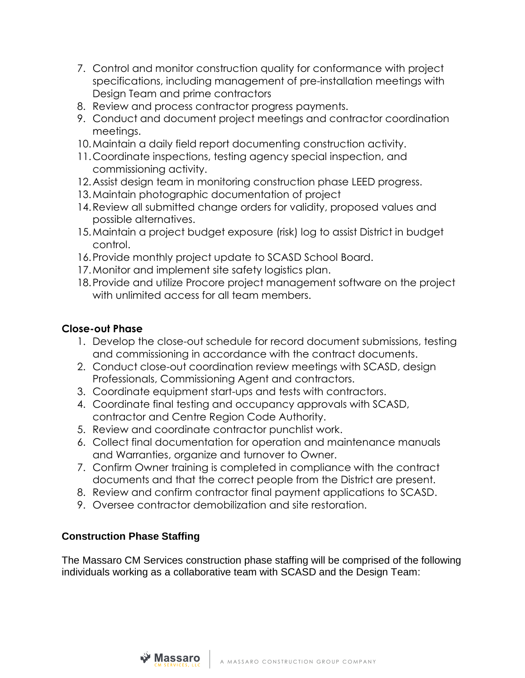- 7. Control and monitor construction quality for conformance with project specifications, including management of pre-installation meetings with Design Team and prime contractors
- 8. Review and process contractor progress payments.
- 9. Conduct and document project meetings and contractor coordination meetings.
- 10.Maintain a daily field report documenting construction activity.
- 11.Coordinate inspections, testing agency special inspection, and commissioning activity.
- 12.Assist design team in monitoring construction phase LEED progress.
- 13.Maintain photographic documentation of project
- 14.Review all submitted change orders for validity, proposed values and possible alternatives.
- 15.Maintain a project budget exposure (risk) log to assist District in budget control.
- 16.Provide monthly project update to SCASD School Board.
- 17.Monitor and implement site safety logistics plan.
- 18.Provide and utilize Procore project management software on the project with unlimited access for all team members.

#### **Close-out Phase**

- 1. Develop the close-out schedule for record document submissions, testing and commissioning in accordance with the contract documents.
- 2. Conduct close-out coordination review meetings with SCASD, design Professionals, Commissioning Agent and contractors.
- 3. Coordinate equipment start-ups and tests with contractors.
- 4. Coordinate final testing and occupancy approvals with SCASD, contractor and Centre Region Code Authority.
- 5. Review and coordinate contractor punchlist work.
- 6. Collect final documentation for operation and maintenance manuals and Warranties, organize and turnover to Owner.
- 7. Confirm Owner training is completed in compliance with the contract documents and that the correct people from the District are present.
- 8. Review and confirm contractor final payment applications to SCASD.
- 9. Oversee contractor demobilization and site restoration.

#### **Construction Phase Staffing**

The Massaro CM Services construction phase staffing will be comprised of the following individuals working as a collaborative team with SCASD and the Design Team:

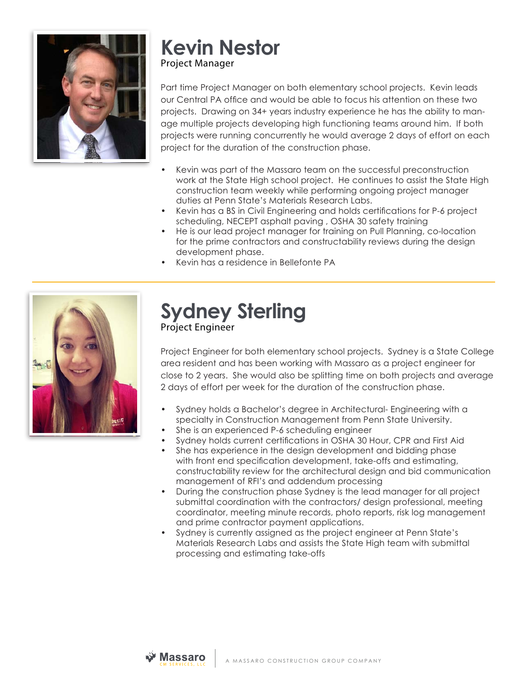

## **Kevin Nestor** Project Manager

Part time Project Manager on both elementary school projects. Kevin leads our Central PA office and would be able to focus his attention on these two projects. Drawing on 34+ years industry experience he has the ability to manage multiple projects developing high functioning teams around him. If both projects were running concurrently he would average 2 days of effort on each project for the duration of the construction phase.

- Kevin was part of the Massaro team on the successful preconstruction work at the State High school project. He continues to assist the State High construction team weekly while performing ongoing project manager duties at Penn State's Materials Research Labs.
- Kevin has a BS in Civil Engineering and holds certifications for P-6 project scheduling, NECEPT asphalt paving , OSHA 30 safety training
- He is our lead project manager for training on Pull Planning, co-location for the prime contractors and constructability reviews during the design development phase.
- Kevin has a residence in Bellefonte PA



# **Sydney Sterling** Project Engineer

Project Engineer for both elementary school projects. Sydney is a State College area resident and has been working with Massaro as a project engineer for close to 2 years. She would also be splitting time on both projects and average 2 days of effort per week for the duration of the construction phase.

- Sydney holds a Bachelor's degree in Architectural- Engineering with a specialty in Construction Management from Penn State University.
- She is an experienced P-6 scheduling engineer
- Sydney holds current certifications in OSHA 30 Hour, CPR and First Aid
- She has experience in the design development and bidding phase with front end specification development, take-offs and estimating, constructability review for the architectural design and bid communication management of RFI's and addendum processing
- During the construction phase Sydney is the lead manager for all project submittal coordination with the contractors/ design professional, meeting coordinator, meeting minute records, photo reports, risk log management and prime contractor payment applications.
- Sydney is currently assigned as the project engineer at Penn State's Materials Research Labs and assists the State High team with submittal processing and estimating take-offs

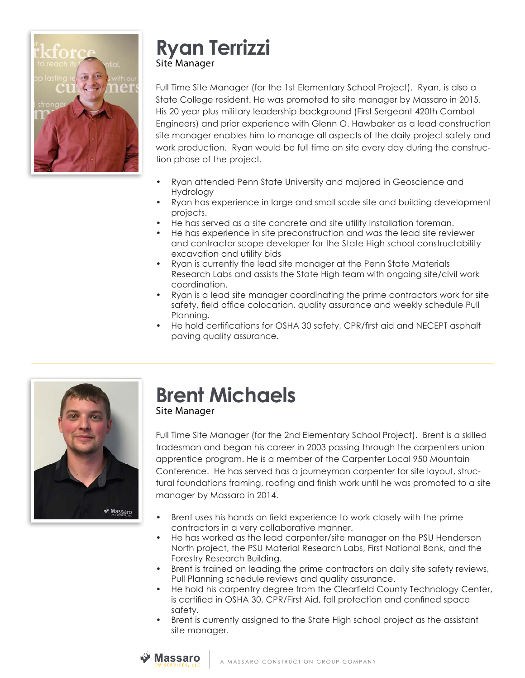

## **Ryan Terrizzi** Site Manager

Full Time Site Manager (for the 1st Elementary School Project). Ryan, is also a State College resident. He was promoted to site manager by Massaro in 2015. His 20 year plus military leadership background (First Sergeant 420th Combat Engineers) and prior experience with Glenn O. Hawbaker as a lead construction site manager enables him to manage all aspects of the daily project safety and work production. Ryan would be full time on site every day during the construction phase of the project.

- Ryan attended Penn State University and majored in Geoscience and Hydrology
- Ryan has experience in large and small scale site and building development projects.
- He has served as a site concrete and site utility installation foreman.
- He has experience in site preconstruction and was the lead site reviewer and contractor scope developer for the State High school constructability excavation and utility bids
- Ryan is currently the lead site manager at the Penn State Materials Research Labs and assists the State High team with ongoing site/civil work coordination.
- Ryan is a lead site manager coordinating the prime contractors work for site safety, field office colocation, quality assurance and weekly schedule Pull Planning.
- He hold certifications for OSHA 30 safety, CPR/first aid and NECEPT asphalt paving quality assurance.



## **Brent Michaels** Site Manager

Full Time Site Manager (for the 2nd Elementary School Project). Brent is a skilled tradesman and began his career in 2003 passing through the carpenters union apprentice program. He is a member of the Carpenter Local 950 Mountain Conference. He has served has a journeyman carpenter for site layout, structural foundations framing, roofing and finish work until he was promoted to a site manager by Massaro in 2014.

- Brent uses his hands on field experience to work closely with the prime contractors in a very collaborative manner.
- He has worked as the lead carpenter/site manager on the PSU Henderson North project, the PSU Material Research Labs, First National Bank, and the Forestry Research Building.
- Brent is trained on leading the prime contractors on daily site safety reviews, Pull Planning schedule reviews and quality assurance.
- He hold his carpentry degree from the Clearfield County Technology Center, is certified in OSHA 30, CPR/First Aid, fall protection and confined space safety.
- Brent is currently assigned to the State High school project as the assistant site manager.

## **≫ Massaro**